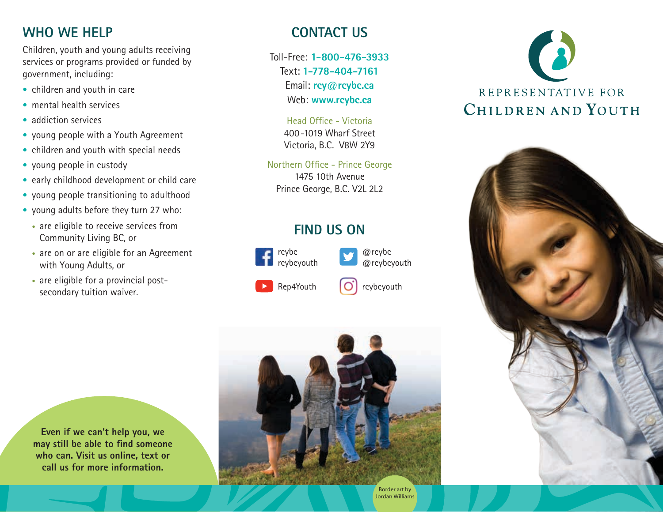#### **WHO WE HELP**

Children, youth and young adults receiving services or programs provided or funded by government, including:

- children and youth in care
- mental health services
- addiction services
- young people with a Youth Agreement
- children and youth with special needs
- young people in custody
- early childhood development or child care
- young people transitioning to adulthood
- young adults before they turn 27 who:
	- are eligible to receive services from Community Living BC, or
	- are on or are eligible for an Agreement with Young Adults, or
	- are eligible for a provincial postsecondary tuition waiver.

**CONTACT US**

Toll-Free: **1-800-476-3933** Text: **1-778-404-7161** Email: **rcy@rcybc.ca** Web: **www.rcybc.ca**

> Head Office - Victoria 400-1019 Wharf Street Victoria, B.C. V8W 2Y9

Northern Office - Prince George 1475 10th Avenue Prince George, B.C. V2L 2L2

### **FIND US ON**



@rcybc @rcybcyouth







**Even if we can't help you, we may still be able to find someone who can. Visit us online, text or call us for more information.**



Border art by Jordan Williams